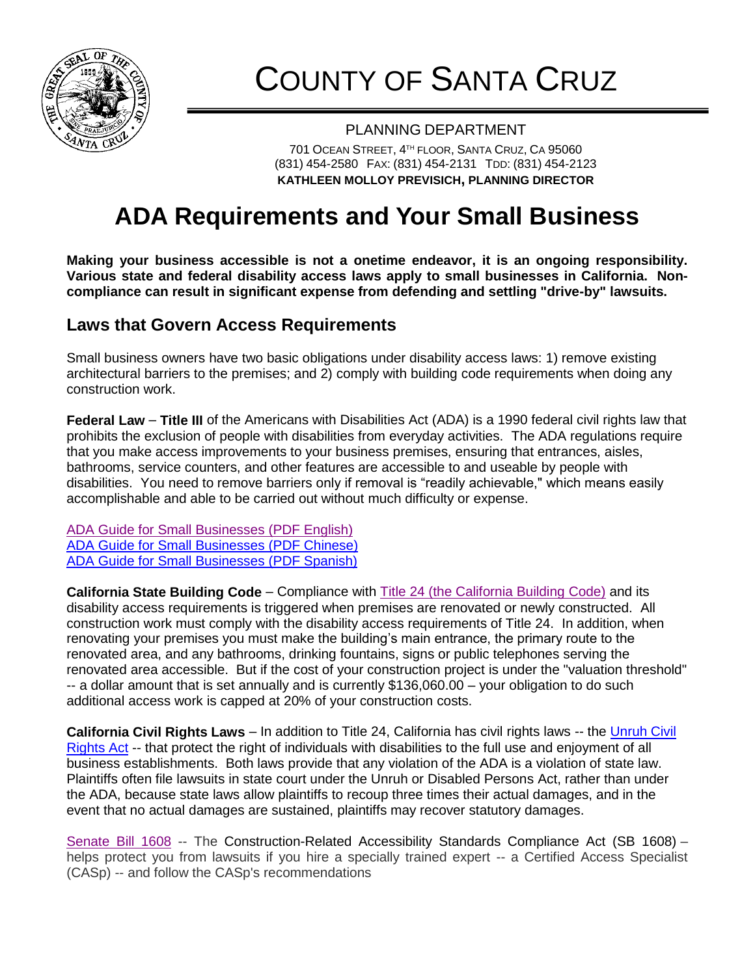

# COUNTY OF SANTA CRUZ

#### PLANNING DEPARTMENT

701 OCEAN STREET, 4 TH FLOOR, SANTA CRUZ, CA 95060 (831) 454-2580 FAX: (831) 454-2131 TDD: (831) 454-2123 **KATHLEEN MOLLOY PREVISICH, PLANNING DIRECTOR**

# **ADA Requirements and Your Small Business**

**Making your business accessible is not a onetime endeavor, it is an ongoing responsibility. Various state and federal disability access laws apply to small businesses in California. Noncompliance can result in significant expense from defending and settling "drive-by" lawsuits.**

### **Laws that Govern Access Requirements**

Small business owners have two basic obligations under disability access laws: 1) remove existing architectural barriers to the premises; and 2) comply with building code requirements when doing any construction work.

**Federal Law** – **[Title III](http://www.disabilityaccessinfo.ca.gov/lawsregs.htm#ada_act_3)** of the Americans with Disabilities Act (ADA) is a 1990 federal civil rights law that prohibits the exclusion of people with disabilities from everyday activities. The ADA regulations require that you make access improvements to your business premises, ensuring that entrances, aisles, bathrooms, service counters, and other features are accessible to and useable by people with disabilities. You need to remove barriers only if removal is "readily achievable," which means easily accomplishable and able to be carried out without much difficulty or expense.

[ADA Guide for Small Businesses \(PDF English\)](https://www.ada.gov/regs2010/smallbusiness/smallbusprimer2010.pdf)  ADA Guide [for Small Businesses \(PDF Chinese\)](http://sfosb.org/sites/default/files/FileCenter/Documents/1886-ADA%20Guide%20for%20Small%20Businesses%20-%20Chinese.PDF) ADA Guide [for Small Businesses \(PDF Spanish\)](http://sfosb.org/sites/default/files/FileCenter/Documents/7457-DOC%20-%20ADA%20%28Spanish%29.PDF)

**California State Building Code** – Compliance with [Title 24 \(the California Building Code\)](http://www.bsc.ca.gov/codes.aspx) and its disability access requirements is triggered when premises are renovated or newly constructed. All construction work must comply with the disability access requirements of Title 24. In addition, when renovating your premises you must make the building's main entrance, the primary route to the renovated area, and any bathrooms, drinking fountains, signs or public telephones serving the renovated area accessible. But if the cost of your construction project is under the "valuation threshold" -- a dollar amount that is set annually and is currently \$136,060.00 – your obligation to do such additional access work is capped at 20% of your construction costs.

**California Civil Rights Laws** – In addition to Title 24, California has civil rights laws -- the [Unruh Civil](http://www.dor.ca.gov/DisabilityAccessInfo/Unruh-Civil-Rights-Act.html)  [Rights Act](http://www.dor.ca.gov/DisabilityAccessInfo/Unruh-Civil-Rights-Act.html) -- that protect the right of individuals with disabilities to the full use and enjoyment of all business establishments. Both laws provide that any violation of the ADA is a violation of state law. Plaintiffs often file lawsuits in state court under the Unruh or Disabled Persons Act, rather than under the ADA, because state laws allow plaintiffs to recoup three times their actual damages, and in the event that no actual damages are sustained, plaintiffs may recover statutory damages.

[Senate Bill](http://leginfo.legislature.ca.gov/faces/billNavClient.xhtml?bill_id=201120120SB1186) 1608 -- The [Construction-Related Accessibility Standards Compliance Act \(SB 1608\)](http://www.calchamber.com/headlines/pages/sb1608disabilityaccesslawreformhowdoesithelpbusinessowners.aspx) – helps protect you from lawsuits if you hire a specially trained expert -- a Certified Access Specialist (CASp) -- and follow the CASp's recommendations